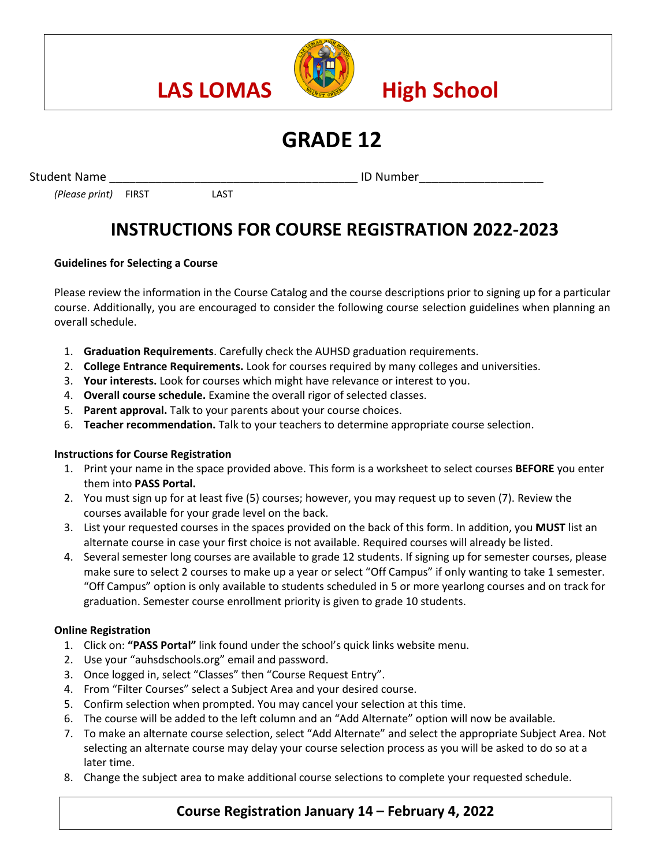

# **GRADE 12**

Student Name **Example 20 and Student Name ID Number** 

*(Please print)* FIRST LAST

## **INSTRUCTIONS FOR COURSE REGISTRATION 2022-2023**

### **Guidelines for Selecting a Course**

Please review the information in the Course Catalog and the course descriptions prior to signing up for a particular course. Additionally, you are encouraged to consider the following course selection guidelines when planning an overall schedule.

- 1. **Graduation Requirements**. Carefully check the AUHSD graduation requirements.
- 2. **College Entrance Requirements.** Look for courses required by many colleges and universities.
- 3. **Your interests.** Look for courses which might have relevance or interest to you.
- 4. **Overall course schedule.** Examine the overall rigor of selected classes.
- 5. **Parent approval.** Talk to your parents about your course choices.
- 6. **Teacher recommendation.** Talk to your teachers to determine appropriate course selection.

### **Instructions for Course Registration**

- 1. Print your name in the space provided above. This form is a worksheet to select courses **BEFORE** you enter them into **PASS Portal.**
- 2. You must sign up for at least five (5) courses; however, you may request up to seven (7). Review the courses available for your grade level on the back.
- 3. List your requested courses in the spaces provided on the back of this form. In addition, you **MUST** list an alternate course in case your first choice is not available. Required courses will already be listed.
- 4. Several semester long courses are available to grade 12 students. If signing up for semester courses, please make sure to select 2 courses to make up a year or select "Off Campus" if only wanting to take 1 semester. "Off Campus" option is only available to students scheduled in 5 or more yearlong courses and on track for graduation. Semester course enrollment priority is given to grade 10 students.

#### **Online Registration**

- 1. Click on: **"PASS Portal"** link found under the school's quick links website menu.
- 2. Use your "auhsdschools.org" email and password.
- 3. Once logged in, select "Classes" then "Course Request Entry".
- 4. From "Filter Courses" select a Subject Area and your desired course.
- 5. Confirm selection when prompted. You may cancel your selection at this time.
- 6. The course will be added to the left column and an "Add Alternate" option will now be available.
- 7. To make an alternate course selection, select "Add Alternate" and select the appropriate Subject Area. Not selecting an alternate course may delay your course selection process as you will be asked to do so at a later time.
- 8. Change the subject area to make additional course selections to complete your requested schedule.

### **Course Registration January 14 – February 4, 2022**